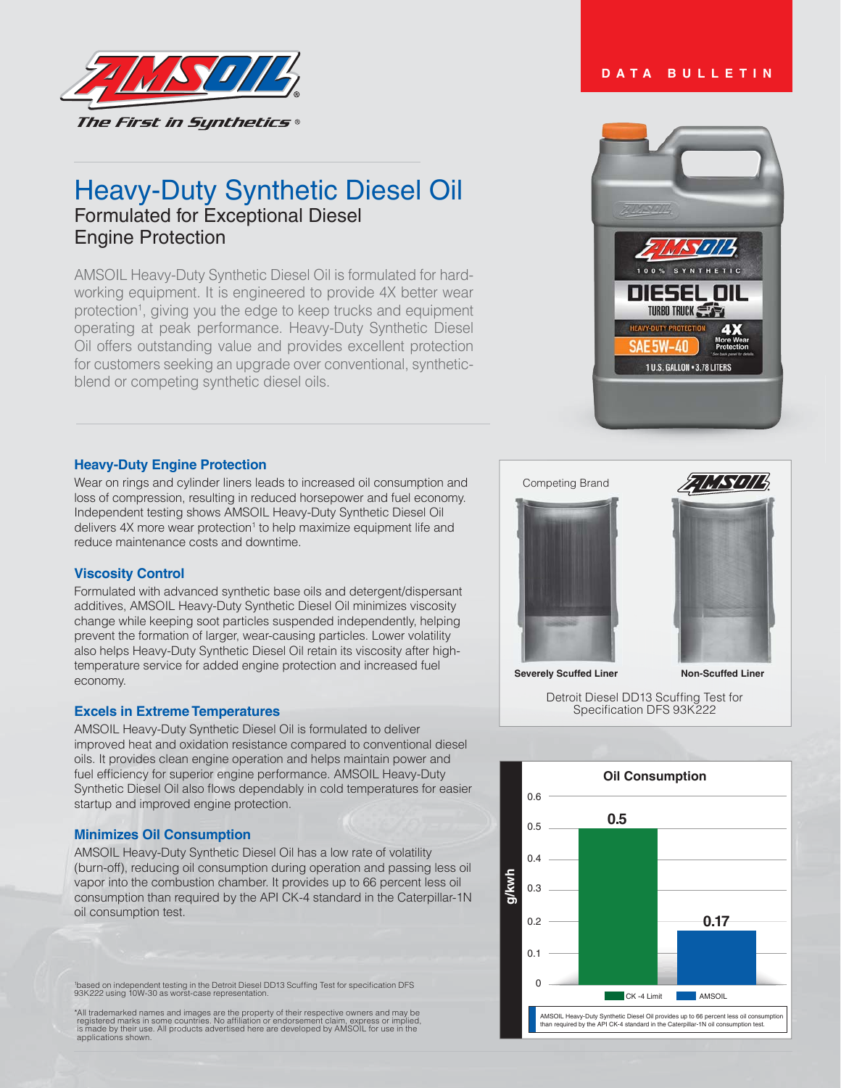

# Heavy-Duty Synthetic Diesel Oil Formulated for Exceptional Diesel Engine Protection

AMSOIL Heavy-Duty Synthetic Diesel Oil is formulated for hardworking equipment. It is engineered to provide 4X better wear protection<sup>1</sup>, giving you the edge to keep trucks and equipment operating at peak performance. Heavy-Duty Synthetic Diesel Oil offers outstanding value and provides excellent protection for customers seeking an upgrade over conventional, syntheticblend or competing synthetic diesel oils.

## **Heavy-Duty Engine Protection**

Wear on rings and cylinder liners leads to increased oil consumption and loss of compression, resulting in reduced horsepower and fuel economy. Independent testing shows AMSOIL Heavy-Duty Synthetic Diesel Oil delivers 4X more wear protection<sup>1</sup> to help maximize equipment life and reduce maintenance costs and downtime.

## **Viscosity Control**

Formulated with advanced synthetic base oils and detergent/dispersant additives, AMSOIL Heavy-Duty Synthetic Diesel Oil minimizes viscosity change while keeping soot particles suspended independently, helping prevent the formation of larger, wear-causing particles. Lower volatility also helps Heavy-Duty Synthetic Diesel Oil retain its viscosity after hightemperature service for added engine protection and increased fuel economy.

## **Excels in Extreme Temperatures**

AMSOIL Heavy-Duty Synthetic Diesel Oil is formulated to deliver improved heat and oxidation resistance compared to conventional diesel oils. It provides clean engine operation and helps maintain power and fuel efficiency for superior engine performance. AMSOIL Heavy-Duty Synthetic Diesel Oil also flows dependably in cold temperatures for easier startup and improved engine protection.

### **Minimizes Oil Consumption**

AMSOIL Heavy-Duty Synthetic Diesel Oil has a low rate of volatility (burn-off), reducing oil consumption during operation and passing less oil vapor into the combustion chamber. It provides up to 66 percent less oil consumption than required by the API CK-4 standard in the Caterpillar-1N oil consumption test.

'based on independent testing in the Detroit Diesel DD13 Scuffing Test for specification DFS<br>93K222 using 10W-30 as worst-case representation.

All trademarked names and images are the property of their respective owners and may be<br>registered marks in some countries. No affiliation or endorsement claim, express or implied,<br>is made by their use. All products advert applications shown.

## **DATA BULLETIN**







**Severely Scuffed Liner Non-Scuffed Liner** 

Detroit Diesel DD13 Scuffing Test for



Specification DFS 93K222